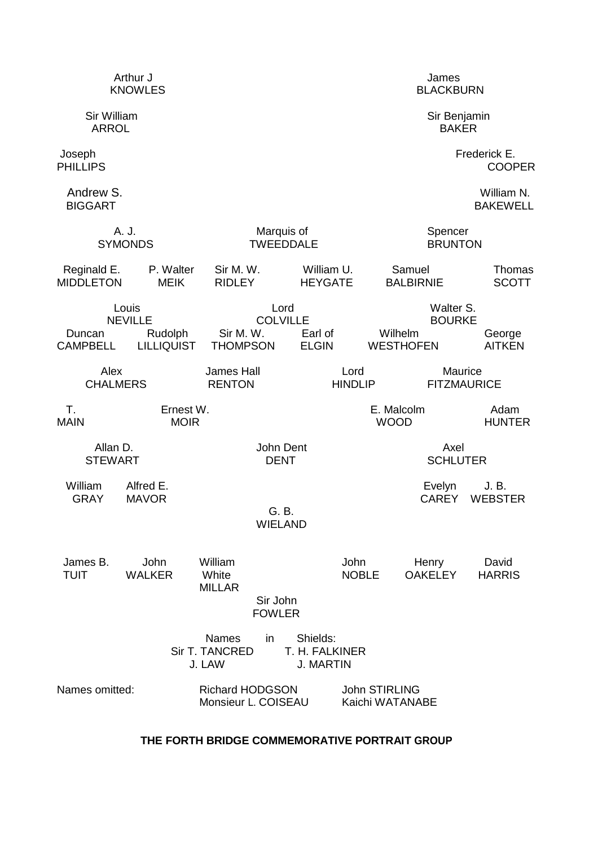| Arthur J<br><b>KNOWLES</b>      |                                                         |                                                         |                                                | James<br><b>BLACKBURN</b>    |                                                |                               |  |
|---------------------------------|---------------------------------------------------------|---------------------------------------------------------|------------------------------------------------|------------------------------|------------------------------------------------|-------------------------------|--|
| Sir William<br><b>ARROL</b>     |                                                         |                                                         |                                                | Sir Benjamin<br><b>BAKER</b> |                                                |                               |  |
| Joseph<br><b>PHILLIPS</b>       |                                                         |                                                         |                                                |                              |                                                | Frederick E.<br><b>COOPER</b> |  |
| Andrew S.<br><b>BIGGART</b>     |                                                         |                                                         |                                                |                              |                                                | William N.<br><b>BAKEWELL</b> |  |
| A. J.<br><b>SYMONDS</b>         |                                                         | Marquis of<br><b>TWEEDDALE</b>                          |                                                | Spencer<br><b>BRUNTON</b>    |                                                |                               |  |
| Reginald E.<br><b>MIDDLETON</b> | P. Walter<br><b>MEIK</b>                                | Sir M. W.<br><b>RIDLEY</b>                              | William U.<br><b>HEYGATE</b>                   |                              | Samuel<br><b>BALBIRNIE</b>                     | Thomas<br><b>SCOTT</b>        |  |
| Duncan<br><b>CAMPBELL</b>       | Louis<br><b>NEVILLE</b><br>Rudolph<br><b>LILLIQUIST</b> | Lord<br><b>COLVILLE</b><br>Sir M. W.<br><b>THOMPSON</b> | Earl of<br><b>ELGIN</b>                        | Wilhelm                      | Walter S.<br><b>BOURKE</b><br><b>WESTHOFEN</b> | George<br><b>AITKEN</b>       |  |
| Alex<br><b>CHALMERS</b>         |                                                         | <b>James Hall</b><br><b>RENTON</b>                      | Lord                                           | <b>HINDLIP</b>               | Maurice<br><b>FITZMAURICE</b>                  |                               |  |
| Τ.<br><b>MAIN</b>               | Ernest W.<br><b>MOIR</b>                                |                                                         |                                                | E. Malcolm<br><b>WOOD</b>    |                                                | Adam<br><b>HUNTER</b>         |  |
| Allan D.<br><b>STEWART</b>      |                                                         | John Dent<br><b>DENT</b>                                |                                                |                              | Axel<br><b>SCHLUTER</b>                        |                               |  |
| William<br><b>GRAY</b>          | Alfred E.<br><b>MAVOR</b>                               | G. B.<br><b>WIELAND</b>                                 |                                                |                              | Evelyn<br><b>CAREY</b>                         | J. B.<br><b>WEBSTER</b>       |  |
| James B.<br>TUIT                | John<br><b>WALKER</b>                                   | William<br>White<br><b>MILLAR</b>                       |                                                | John<br><b>NOBLE</b>         | Henry<br><b>OAKELEY</b>                        | David<br><b>HARRIS</b>        |  |
|                                 |                                                         | Sir John<br><b>FOWLER</b>                               |                                                |                              |                                                |                               |  |
|                                 |                                                         | <b>Names</b><br>in<br><b>Sir T. TANCRED</b><br>J. LAW   | Shields:<br>T. H. FALKINER<br><b>J. MARTIN</b> |                              |                                                |                               |  |

# **THE FORTH BRIDGE COMMEMORATIVE PORTRAIT GROUP**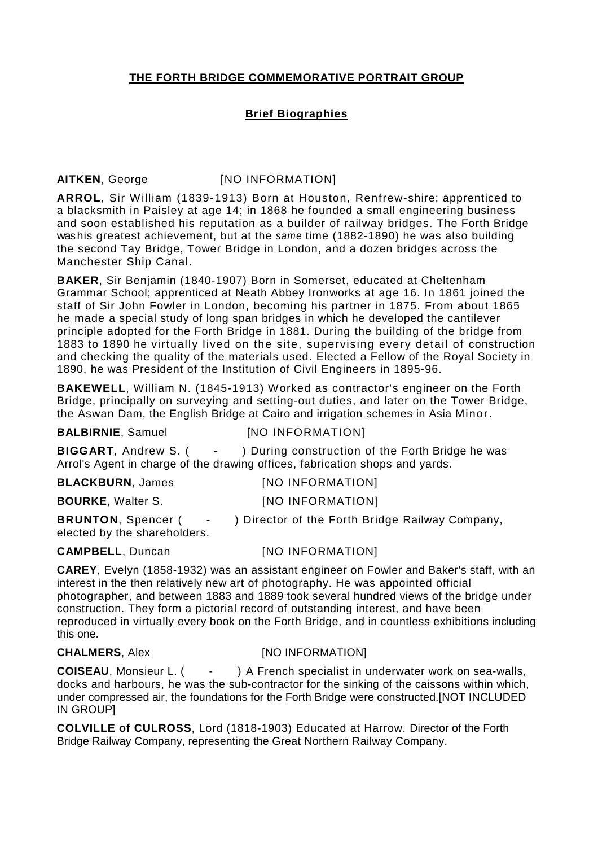## **THE FORTH BRIDGE COMMEMORATIVE PORTRAIT GROUP**

### **Brief Biographies**

### **AITKEN**, George [NO INFORMATION]

**ARROL**, Sir William (1839-1913) Born at Houston, Renfrew-shire; apprenticed to a blacksmith in Paisley at age 14; in 1868 he founded a small engineering business and soon established his reputation as a builder of railway bridges. The Forth Bridge was his greatest achievement, but at the same time (1882-1890) he was also building the second Tay Bridge, Tower Bridge in London, and a dozen bridges across the Manchester Ship Canal.

**BAKER**, Sir Benjamin (1840-1907) Born in Somerset, educated at Cheltenham Grammar School; apprenticed at Neath Abbey Ironworks at age 16. In 1861 joined the staff of Sir John Fowler in London, becoming his partner in 1875. From about 1865 he made a special study of long span bridges in which he developed the cantilever principle adopted for the Forth Bridge in 1881. During the building of the bridge from 1883 to 1890 he virtually lived on the site, supervising every detail of construction and checking the quality of the materials used. Elected a Fellow of the Royal Society in 1890, he was President of the Institution of Civil Engineers in 1895-96.

**BAKEWELL**, William N. (1845-1913) Worked as contractor's engineer on the Forth Bridge, principally on surveying and setting-out duties, and later on the Tower Bridge, the Aswan Dam, the English Bridge at Cairo and irrigation schemes in Asia Minor.

**BALBIRNIE**, Samuel [NO INFORMATION]

**BIGGART**, Andrew S. ( - ) During construction of the Forth Bridge he was Arrol's Agent in charge of the drawing offices, fabrication shops and yards.

**BLACKBURN**, James [NO INFORMATION] **BOURKE**, Walter S. [NO INFORMATION]

**BRUNTON**, Spencer ( - ) Director of the Forth Bridge Railway Company, elected by the shareholders.

**CAMPBELL**, Duncan [NO INFORMATION]

**CAREY**, Evelyn (1858-1932) was an assistant engineer on Fowler and Baker's staff, with an interest in the then relatively new art of photography. He was appointed official photographer, and between 1883 and 1889 took several hundred views of the bridge under construction. They form a pictorial record of outstanding interest, and have been reproduced in virtually every book on the Forth Bridge, and in countless exhibitions including this one.

### **CHALMERS**, Alex **[NO INFORMATION]**

**COISEAU**, Monsieur L. ( - ) A French specialist in underwater work on sea-walls, docks and harbours, he was the sub-contractor for the sinking of the caissons within which, under compressed air, the foundations for the Forth Bridge were constructed.[NOT INCLUDED IN GROUP]

**COLVILLE of CULROSS**, Lord (1818-1903) Educated at Harrow. Director of the Forth Bridge Railway Company, representing the Great Northern Railway Company.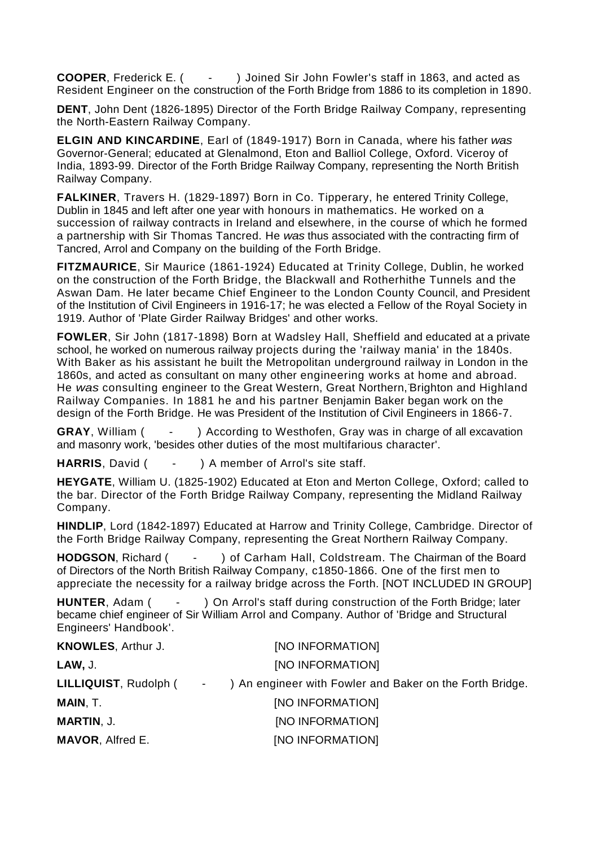**COOPER**, Frederick E. ( - ) Joined Sir John Fowler's staff in 1863, and acted as Resident Engineer on the construction of the Forth Bridge from 1886 to its completion in 1890.

**DENT**, John Dent (1826-1895) Director of the Forth Bridge Railway Company, representing the North-Eastern Railway Company.

**ELGIN AND KINCARDINE**, Earl of (1849-1917) Born in Canada, where his father was Governor-General; educated at Glenalmond, Eton and Balliol College, Oxford. Viceroy of India, 1893-99. Director of the Forth Bridge Railway Company, representing the North British Railway Company.

**FALKINER**, Travers H. (1829-1897) Born in Co. Tipperary, he entered Trinity College, Dublin in 1845 and left after one year with honours in mathematics. He worked on a succession of railway contracts in Ireland and elsewhere, in the course of which he formed a partnership with Sir Thomas Tancred. He was thus associated with the contracting firm of Tancred, Arrol and Company on the building of the Forth Bridge.

**FITZMAURICE**, Sir Maurice (1861-1924) Educated at Trinity College, Dublin, he worked on the construction of the Forth Bridge, the Blackwall and Rotherhithe Tunnels and the Aswan Dam. He later became Chief Engineer to the London County Council, and President of the Institution of Civil Engineers in 1916-17; he was elected a Fellow of the Royal Society in 1919. Author of 'Plate Girder Railway Bridges' and other works.

**FOWLER**, Sir John (1817-1898) Born at Wadsley Hall, Sheffield and educated at a private school, he worked on numerous railway projects during the 'railway mania' in the 1840s. With Baker as his assistant he built the Metropolitan underground railway in London in the 1860s, and acted as consultant on many other engineering works at home and abroad. He was consulting engineer to the Great Western, Great Northern, Brighton and Highland Railway Companies. In 1881 he and his partner Benjamin Baker began work on the design of the Forth Bridge. He was President of the Institution of Civil Engineers in 1866-7.

**GRAY**, William (  $\cdot$  ) According to Westhofen, Gray was in charge of all excavation and masonry work, 'besides other duties of the most multifarious character'.

HARRIS, David ( - ) A member of Arrol's site staff.

**HEYGATE**, William U. (1825-1902) Educated at Eton and Merton College, Oxford; called to the bar. Director of the Forth Bridge Railway Company, representing the Midland Railway Company.

**HINDLIP**, Lord (1842-1897) Educated at Harrow and Trinity College, Cambridge. Director of the Forth Bridge Railway Company, representing the Great Northern Railway Company.

**HODGSON**, Richard ( - ) of Carham Hall, Coldstream. The Chairman of the Board of Directors of the North British Railway Company, c1850-1866. One of the first men to appreciate the necessity for a railway bridge across the Forth. [NOT INCLUDED IN GROUP]

**HUNTER.** Adam ( - ) On Arrol's staff during construction of the Forth Bridge; later became chief engineer of Sir William Arrol and Company. Author of 'Bridge and Structural Engineers' Handbook'.

| <b>KNOWLES, Arthur J.</b>    | [NO INFORMATION]                                         |
|------------------------------|----------------------------------------------------------|
| LAW, J.                      | [NO INFORMATION]                                         |
| LILLIQUIST, Rudolph (Fig. 1) | ) An engineer with Fowler and Baker on the Forth Bridge. |
| MAIN, T.                     | [NO INFORMATION]                                         |
| <b>MARTIN, J.</b>            | [NO INFORMATION]                                         |
| <b>MAVOR, Alfred E.</b>      | [NO INFORMATION]                                         |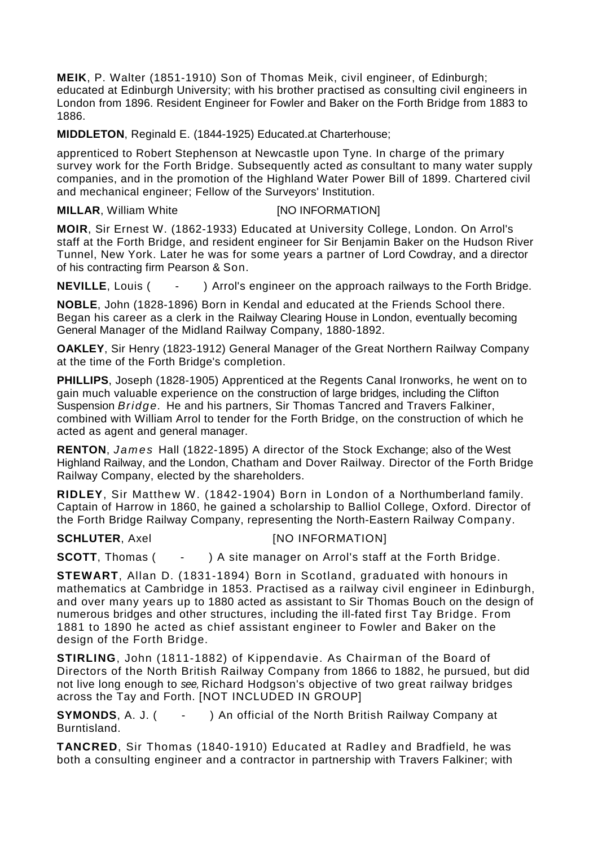**MEIK**, P. Walter (1851-1910) Son of Thomas Meik, civil engineer, of Edinburgh; educated at Edinburgh University; with his brother practised as consulting civil engineers in London from 1896. Resident Engineer for Fowler and Baker on the Forth Bridge from 1883 to 1886.

**MIDDLETON**, Reginald E. (1844-1925) Educated.at Charterhouse;

apprenticed to Robert Stephenson at Newcastle upon Tyne. In charge of the primary survey work for the Forth Bridge. Subsequently acted as consultant to many water supply companies, and in the promotion of the Highland Water Power Bill of 1899. Chartered civil and mechanical engineer; Fellow of the Surveyors' Institution.

**MILLAR**, William White [NO INFORMATION]

**MOIR**, Sir Ernest W. (1862-1933) Educated at University College, London. On Arrol's staff at the Forth Bridge, and resident engineer for Sir Benjamin Baker on the Hudson River Tunnel, New York. Later he was for some years a partner of Lord Cowdray, and a director of his contracting firm Pearson & Son.

**NEVILLE**, Louis (  $\cdot$  ) Arrol's engineer on the approach railways to the Forth Bridge.

**NOBLE**, John (1828-1896) Born in Kendal and educated at the Friends School there. Began his career as a clerk in the Railway Clearing House in London, eventually becoming General Manager of the Midland Railway Company, 1880-1892.

**OAKLEY**, Sir Henry (1823-1912) General Manager of the Great Northern Railway Company at the time of the Forth Bridge's completion.

**PHILLIPS**, Joseph (1828-1905) Apprenticed at the Regents Canal Ironworks, he went on to gain much valuable experience on the construction of large bridges, including the Clifton Suspension *Bridge.* He and his partners, Sir Thomas Tancred and Travers Falkiner, combined with William Arrol to tender for the Forth Bridge, on the construction of which he acted as agent and general manager.

**RENTON**, James Hall (1822-1895) A director of the Stock Exchange; also of the West Highland Railway, and the London, Chatham and Dover Railway. Director of the Forth Bridge Railway Company, elected by the shareholders.

**RIDLEY**, Sir Matthew W. (1842-1904) Born in London of a Northumberland family. Captain of Harrow in 1860, he gained a scholarship to Balliol College, Oxford. Director of the Forth Bridge Railway Company, representing the North-Eastern Railway Company.

**SCHLUTER**, Axel [NO INFORMATION]

**SCOTT**, Thomas (  $\cdot$  ) A site manager on Arrol's staff at the Forth Bridge.

**STEWART**, Allan D. (1831-1894) Born in Scotland, graduated with honours in mathematics at Cambridge in 1853. Practised as a railway civil engineer in Edinburgh, and over many years up to 1880 acted as assistant to Sir Thomas Bouch on the design of numerous bridges and other structures, including the ill-fated first Tay Bridge. From 1881 to 1890 he acted as chief assistant engineer to Fowler and Baker on the design of the Forth Bridge.

**STIRLING**, John (1811-1882) of Kippendavie. As Chairman of the Board of Directors of the North British Railway Company from 1866 to 1882, he pursued, but did not live long enough to see, Richard Hodgson's objective of two great railway bridges across the Tay and Forth. [NOT INCLUDED IN GROUP]

**SYMONDS**, A. J. ( - ) An official of the North British Railway Company at Burntisland.

**TANCRED**, Sir Thomas (1840-1910) Educated at Radley and Bradfield, he was both a consulting engineer and a contractor in partnership with Travers Falkiner; with